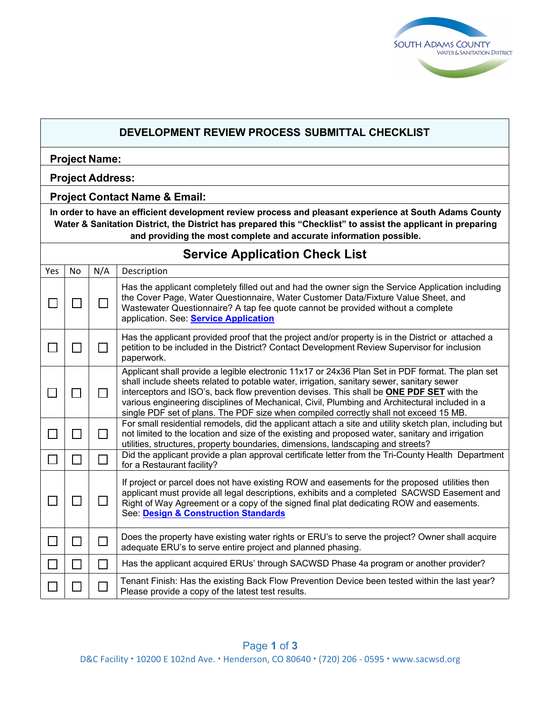

|                                                                                                                                                                                                                                                                                              | DEVELOPMENT REVIEW PROCESS SUBMITTAL CHECKLIST |                             |                                                                                                                                                                                                                                                                                                                                                                                                                                                                                             |  |  |  |  |
|----------------------------------------------------------------------------------------------------------------------------------------------------------------------------------------------------------------------------------------------------------------------------------------------|------------------------------------------------|-----------------------------|---------------------------------------------------------------------------------------------------------------------------------------------------------------------------------------------------------------------------------------------------------------------------------------------------------------------------------------------------------------------------------------------------------------------------------------------------------------------------------------------|--|--|--|--|
| <b>Project Name:</b>                                                                                                                                                                                                                                                                         |                                                |                             |                                                                                                                                                                                                                                                                                                                                                                                                                                                                                             |  |  |  |  |
| <b>Project Address:</b>                                                                                                                                                                                                                                                                      |                                                |                             |                                                                                                                                                                                                                                                                                                                                                                                                                                                                                             |  |  |  |  |
|                                                                                                                                                                                                                                                                                              | <b>Project Contact Name &amp; Email:</b>       |                             |                                                                                                                                                                                                                                                                                                                                                                                                                                                                                             |  |  |  |  |
| In order to have an efficient development review process and pleasant experience at South Adams County<br>Water & Sanitation District, the District has prepared this "Checklist" to assist the applicant in preparing<br>and providing the most complete and accurate information possible. |                                                |                             |                                                                                                                                                                                                                                                                                                                                                                                                                                                                                             |  |  |  |  |
|                                                                                                                                                                                                                                                                                              | <b>Service Application Check List</b>          |                             |                                                                                                                                                                                                                                                                                                                                                                                                                                                                                             |  |  |  |  |
| Yes                                                                                                                                                                                                                                                                                          | <b>No</b>                                      | N/A                         | Description                                                                                                                                                                                                                                                                                                                                                                                                                                                                                 |  |  |  |  |
| $\Box$                                                                                                                                                                                                                                                                                       | П                                              | $\Box$                      | Has the applicant completely filled out and had the owner sign the Service Application including<br>the Cover Page, Water Questionnaire, Water Customer Data/Fixture Value Sheet, and<br>Wastewater Questionnaire? A tap fee quote cannot be provided without a complete<br>application. See: <b>Service Application</b>                                                                                                                                                                    |  |  |  |  |
|                                                                                                                                                                                                                                                                                              |                                                | $\perp$                     | Has the applicant provided proof that the project and/or property is in the District or attached a<br>petition to be included in the District? Contact Development Review Supervisor for inclusion<br>paperwork.                                                                                                                                                                                                                                                                            |  |  |  |  |
|                                                                                                                                                                                                                                                                                              | П                                              | $\perp$                     | Applicant shall provide a legible electronic 11x17 or 24x36 Plan Set in PDF format. The plan set<br>shall include sheets related to potable water, irrigation, sanitary sewer, sanitary sewer<br>interceptors and ISO's, back flow prevention devises. This shall be <b>ONE PDF SET</b> with the<br>various engineering disciplines of Mechanical, Civil, Plumbing and Architectural included in a<br>single PDF set of plans. The PDF size when compiled correctly shall not exceed 15 MB. |  |  |  |  |
| Ιl                                                                                                                                                                                                                                                                                           | $\Box$                                         | П                           | For small residential remodels, did the applicant attach a site and utility sketch plan, including but<br>not limited to the location and size of the existing and proposed water, sanitary and irrigation<br>utilities, structures, property boundaries, dimensions, landscaping and streets?                                                                                                                                                                                              |  |  |  |  |
| ப                                                                                                                                                                                                                                                                                            | $\mathbf{I}$                                   | $\mathcal{L}_{\mathcal{A}}$ | Did the applicant provide a plan approval certificate letter from the Tri-County Health Department<br>for a Restaurant facility?                                                                                                                                                                                                                                                                                                                                                            |  |  |  |  |
|                                                                                                                                                                                                                                                                                              |                                                |                             | If project or parcel does not have existing ROW and easements for the proposed utilities then<br>applicant must provide all legal descriptions, exhibits and a completed SACWSD Easement and<br>Right of Way Agreement or a copy of the signed final plat dedicating ROW and easements.<br>See: Design & Construction Standards                                                                                                                                                             |  |  |  |  |
|                                                                                                                                                                                                                                                                                              |                                                |                             | Does the property have existing water rights or ERU's to serve the project? Owner shall acquire<br>adequate ERU's to serve entire project and planned phasing.                                                                                                                                                                                                                                                                                                                              |  |  |  |  |
|                                                                                                                                                                                                                                                                                              |                                                | $\mathbf{I}$                | Has the applicant acquired ERUs' through SACWSD Phase 4a program or another provider?                                                                                                                                                                                                                                                                                                                                                                                                       |  |  |  |  |
|                                                                                                                                                                                                                                                                                              |                                                |                             | Tenant Finish: Has the existing Back Flow Prevention Device been tested within the last year?<br>Please provide a copy of the latest test results.                                                                                                                                                                                                                                                                                                                                          |  |  |  |  |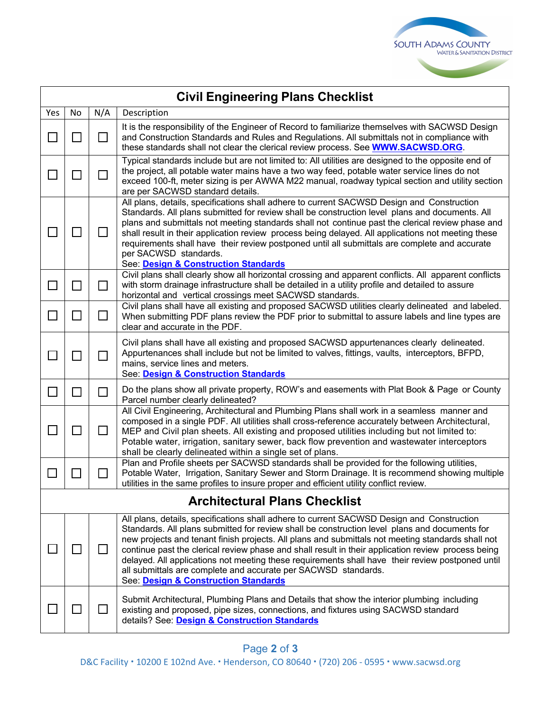

|                                      | <b>Civil Engineering Plans Checklist</b> |        |                                                                                                                                                                                                                                                                                                                                                                                                                                                                                                                                                                                                                     |  |  |  |  |
|--------------------------------------|------------------------------------------|--------|---------------------------------------------------------------------------------------------------------------------------------------------------------------------------------------------------------------------------------------------------------------------------------------------------------------------------------------------------------------------------------------------------------------------------------------------------------------------------------------------------------------------------------------------------------------------------------------------------------------------|--|--|--|--|
| Yes                                  | No.                                      | N/A    | Description                                                                                                                                                                                                                                                                                                                                                                                                                                                                                                                                                                                                         |  |  |  |  |
|                                      |                                          | $\Box$ | It is the responsibility of the Engineer of Record to familiarize themselves with SACWSD Design<br>and Construction Standards and Rules and Regulations. All submittals not in compliance with<br>these standards shall not clear the clerical review process. See <b>WWW.SACWSD.ORG</b> .                                                                                                                                                                                                                                                                                                                          |  |  |  |  |
|                                      |                                          |        | Typical standards include but are not limited to: All utilities are designed to the opposite end of<br>the project, all potable water mains have a two way feed, potable water service lines do not<br>exceed 100-ft, meter sizing is per AWWA M22 manual, roadway typical section and utility section<br>are per SACWSD standard details.                                                                                                                                                                                                                                                                          |  |  |  |  |
|                                      |                                          |        | All plans, details, specifications shall adhere to current SACWSD Design and Construction<br>Standards. All plans submitted for review shall be construction level plans and documents. All<br>plans and submittals not meeting standards shall not continue past the clerical review phase and<br>shall result in their application review process being delayed. All applications not meeting these<br>requirements shall have their review postponed until all submittals are complete and accurate<br>per SACWSD standards.<br>See: Design & Construction Standards                                             |  |  |  |  |
| $\mathbf{I}$                         |                                          | $\Box$ | Civil plans shall clearly show all horizontal crossing and apparent conflicts. All apparent conflicts<br>with storm drainage infrastructure shall be detailed in a utility profile and detailed to assure<br>horizontal and vertical crossings meet SACWSD standards.                                                                                                                                                                                                                                                                                                                                               |  |  |  |  |
| $\Box$                               | $\sim$                                   | $\Box$ | Civil plans shall have all existing and proposed SACWSD utilities clearly delineated and labeled.<br>When submitting PDF plans review the PDF prior to submittal to assure labels and line types are<br>clear and accurate in the PDF.                                                                                                                                                                                                                                                                                                                                                                              |  |  |  |  |
|                                      |                                          | П      | Civil plans shall have all existing and proposed SACWSD appurtenances clearly delineated.<br>Appurtenances shall include but not be limited to valves, fittings, vaults, interceptors, BFPD,<br>mains, service lines and meters.<br>See: Design & Construction Standards                                                                                                                                                                                                                                                                                                                                            |  |  |  |  |
| $\mathcal{L}_{\mathcal{A}}$          | $\mathcal{L}_{\mathcal{A}}$              | $\Box$ | Do the plans show all private property, ROW's and easements with Plat Book & Page or County<br>Parcel number clearly delineated?                                                                                                                                                                                                                                                                                                                                                                                                                                                                                    |  |  |  |  |
| $\mathbf{I}$                         |                                          | $\Box$ | All Civil Engineering, Architectural and Plumbing Plans shall work in a seamless manner and<br>composed in a single PDF. All utilities shall cross-reference accurately between Architectural,<br>MEP and Civil plan sheets. All existing and proposed utilities including but not limited to:<br>Potable water, irrigation, sanitary sewer, back flow prevention and wastewater interceptors<br>shall be clearly delineated within a single set of plans.                                                                                                                                                          |  |  |  |  |
|                                      |                                          | $\Box$ | Plan and Profile sheets per SACWSD standards shall be provided for the following utilities,<br>Potable Water, Irrigation, Sanitary Sewer and Storm Drainage. It is recommend showing multiple<br>utilities in the same profiles to insure proper and efficient utility conflict review.                                                                                                                                                                                                                                                                                                                             |  |  |  |  |
| <b>Architectural Plans Checklist</b> |                                          |        |                                                                                                                                                                                                                                                                                                                                                                                                                                                                                                                                                                                                                     |  |  |  |  |
|                                      |                                          |        | All plans, details, specifications shall adhere to current SACWSD Design and Construction<br>Standards. All plans submitted for review shall be construction level plans and documents for<br>new projects and tenant finish projects. All plans and submittals not meeting standards shall not<br>continue past the clerical review phase and shall result in their application review process being<br>delayed. All applications not meeting these requirements shall have their review postponed until<br>all submittals are complete and accurate per SACWSD standards.<br>See: Design & Construction Standards |  |  |  |  |
|                                      |                                          |        | Submit Architectural, Plumbing Plans and Details that show the interior plumbing including<br>existing and proposed, pipe sizes, connections, and fixtures using SACWSD standard<br>details? See: Design & Construction Standards                                                                                                                                                                                                                                                                                                                                                                                   |  |  |  |  |

D&C Facility **·** 10200 E 102nd Ave. **·** Henderson, CO 80640 **·** (720) 206 - 0595 **·** [www.sacwsd.org](http://www.sacwsd.org/)